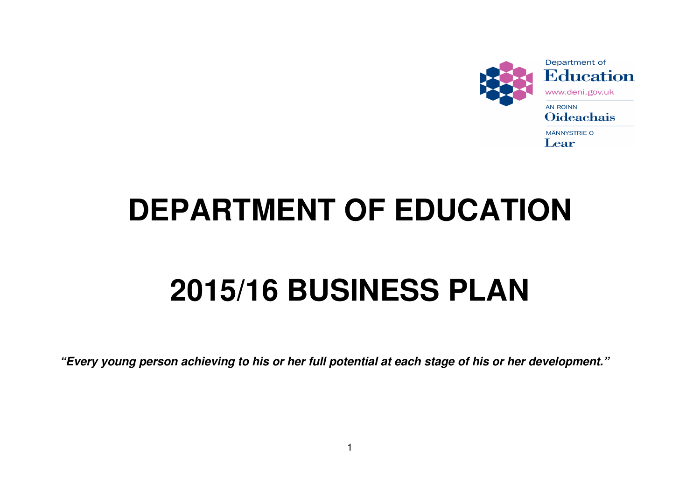

# **DEPARTMENT OF EDUCATION**

## **2015/16 BUSINESS PLAN**

**"Every young person achieving to his or her full potential at each stage of his or her development."**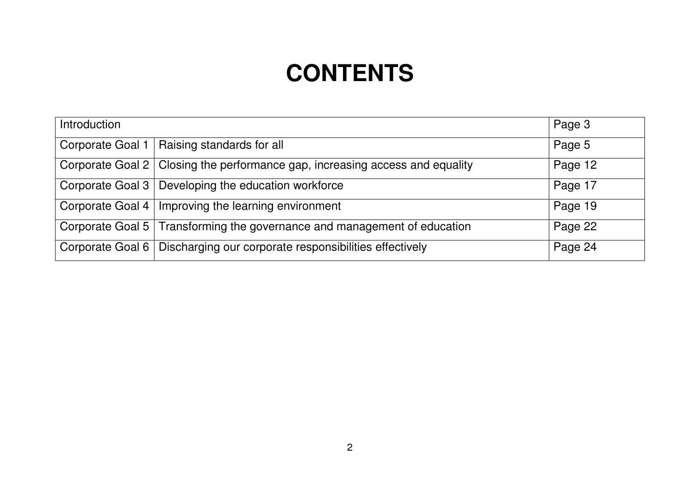## **CONTENTS**

| Introduction     |                                                                                | Page 3  |
|------------------|--------------------------------------------------------------------------------|---------|
| Corporate Goal 1 | Raising standards for all                                                      | Page 5  |
|                  | Corporate Goal 2   Closing the performance gap, increasing access and equality | Page 12 |
|                  | Corporate Goal 3   Developing the education workforce                          | Page 17 |
|                  | Corporate Goal 4   Improving the learning environment                          | Page 19 |
|                  | Corporate Goal 5   Transforming the governance and management of education     | Page 22 |
|                  | Corporate Goal 6   Discharging our corporate responsibilities effectively      | Page 24 |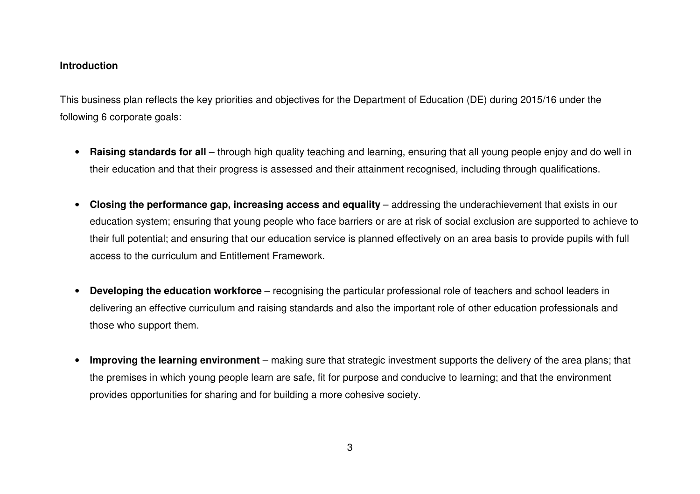#### **Introduction**

This business plan reflects the key priorities and objectives for the Department of Education (DE) during 2015/16 under the following 6 corporate goals:

- **Raising standards for all**  through high quality teaching and learning, ensuring that all young people enjoy and do well in their education and that their progress is assessed and their attainment recognised, including through qualifications.
- **Closing the performance gap, increasing access and equality**  addressing the underachievement that exists in our education system; ensuring that young people who face barriers or are at risk of social exclusion are supported to achieve to their full potential; and ensuring that our education service is planned effectively on an area basis to provide pupils with full access to the curriculum and Entitlement Framework.
- • **Developing the education workforce** – recognising the particular professional role of teachers and school leaders in delivering an effective curriculum and raising standards and also the important role of other education professionals and those who support them.
- $\bullet$  **Improving the learning environment** – making sure that strategic investment supports the delivery of the area plans; that the premises in which young people learn are safe, fit for purpose and conducive to learning; and that the environment provides opportunities for sharing and for building a more cohesive society.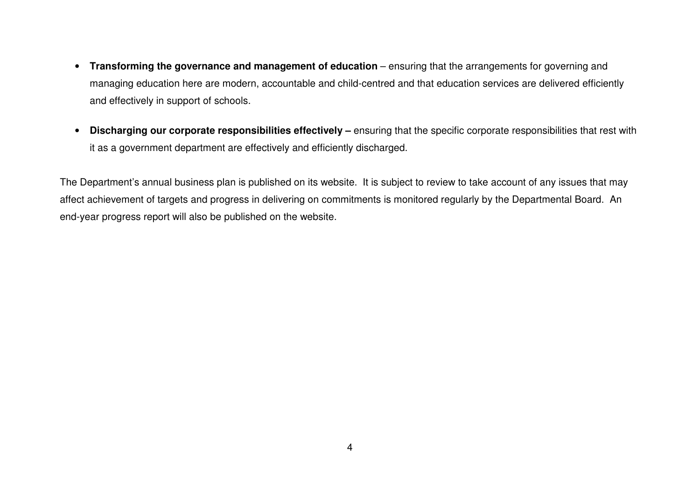- $\bullet$ **Transforming the governance and management of education** – ensuring that the arrangements for governing and managing education here are modern, accountable and child-centred and that education services are delivered efficiently and effectively in support of schools.
- $\bullet$  **Discharging our corporate responsibilities effectively –** ensuring that the specific corporate responsibilities that rest with it as a government department are effectively and efficiently discharged.

The Department's annual business plan is published on its website. It is subject to review to take account of any issues that may affect achievement of targets and progress in delivering on commitments is monitored regularly by the Departmental Board. An end-year progress report will also be published on the website.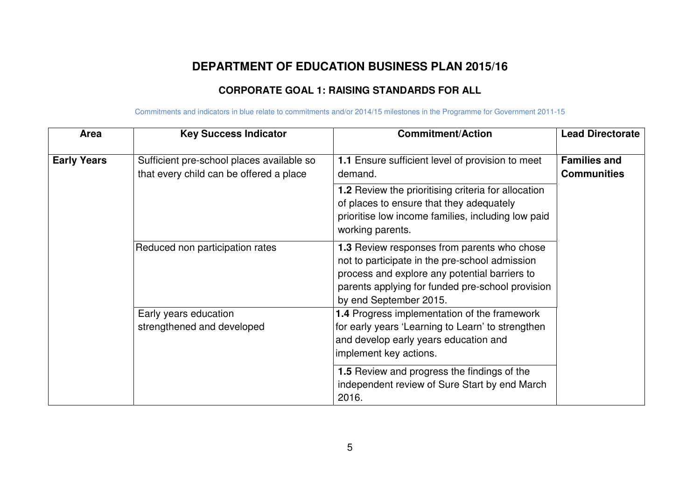## **DEPARTMENT OF EDUCATION BUSINESS PLAN 2015/16**

## **CORPORATE GOAL 1: RAISING STANDARDS FOR ALL**

| Area               | <b>Key Success Indicator</b>                                                         | <b>Commitment/Action</b>                                                                                                                                                                                                     | <b>Lead Directorate</b>                   |
|--------------------|--------------------------------------------------------------------------------------|------------------------------------------------------------------------------------------------------------------------------------------------------------------------------------------------------------------------------|-------------------------------------------|
| <b>Early Years</b> | Sufficient pre-school places available so<br>that every child can be offered a place | 1.1 Ensure sufficient level of provision to meet<br>demand.                                                                                                                                                                  | <b>Families and</b><br><b>Communities</b> |
|                    |                                                                                      | <b>1.2</b> Review the prioritising criteria for allocation<br>of places to ensure that they adequately<br>prioritise low income families, including low paid<br>working parents.                                             |                                           |
|                    | Reduced non participation rates                                                      | 1.3 Review responses from parents who chose<br>not to participate in the pre-school admission<br>process and explore any potential barriers to<br>parents applying for funded pre-school provision<br>by end September 2015. |                                           |
|                    | Early years education<br>strengthened and developed                                  | 1.4 Progress implementation of the framework<br>for early years 'Learning to Learn' to strengthen<br>and develop early years education and<br>implement key actions.                                                         |                                           |
|                    |                                                                                      | 1.5 Review and progress the findings of the<br>independent review of Sure Start by end March<br>2016.                                                                                                                        |                                           |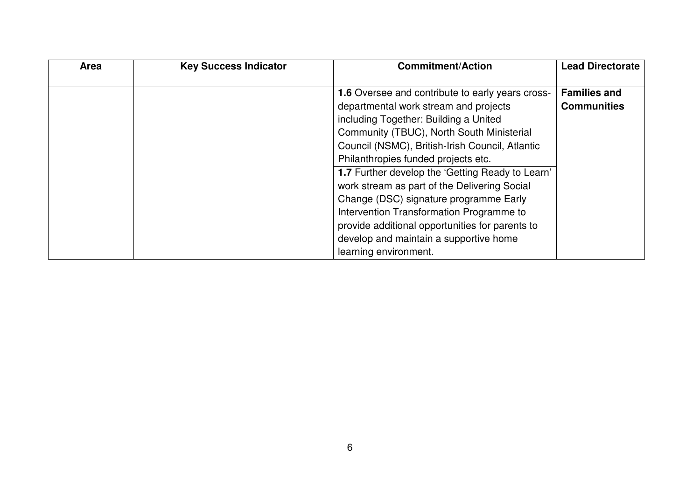| <b>Area</b> | <b>Key Success Indicator</b> | <b>Commitment/Action</b>                                                                                                                                                                                                                                                                                     | <b>Lead Directorate</b>                   |
|-------------|------------------------------|--------------------------------------------------------------------------------------------------------------------------------------------------------------------------------------------------------------------------------------------------------------------------------------------------------------|-------------------------------------------|
|             |                              | <b>1.6</b> Oversee and contribute to early years cross-<br>departmental work stream and projects<br>including Together: Building a United<br>Community (TBUC), North South Ministerial<br>Council (NSMC), British-Irish Council, Atlantic<br>Philanthropies funded projects etc.                             | <b>Families and</b><br><b>Communities</b> |
|             |                              | 1.7 Further develop the 'Getting Ready to Learn'<br>work stream as part of the Delivering Social<br>Change (DSC) signature programme Early<br>Intervention Transformation Programme to<br>provide additional opportunities for parents to<br>develop and maintain a supportive home<br>learning environment. |                                           |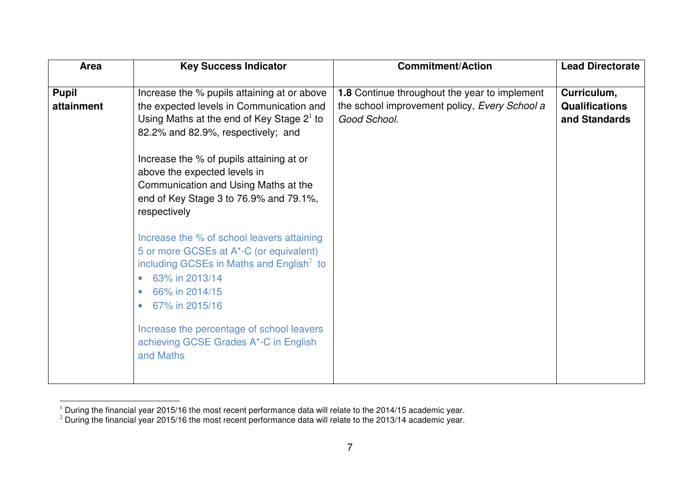| Area         | <b>Key Success Indicator</b>                | <b>Commitment/Action</b>                      | <b>Lead Directorate</b> |
|--------------|---------------------------------------------|-----------------------------------------------|-------------------------|
|              |                                             |                                               |                         |
| <b>Pupil</b> | Increase the % pupils attaining at or above | 1.8 Continue throughout the year to implement | Curriculum,             |
| attainment   | the expected levels in Communication and    | the school improvement policy, Every School a | <b>Qualifications</b>   |
|              | Using Maths at the end of Key Stage $21$ to | Good School.                                  | and Standards           |
|              | 82.2% and 82.9%, respectively; and          |                                               |                         |
|              |                                             |                                               |                         |
|              | Increase the % of pupils attaining at or    |                                               |                         |
|              | above the expected levels in                |                                               |                         |
|              | Communication and Using Maths at the        |                                               |                         |
|              | end of Key Stage 3 to 76.9% and 79.1%,      |                                               |                         |
|              | respectively                                |                                               |                         |
|              |                                             |                                               |                         |
|              | Increase the % of school leavers attaining  |                                               |                         |
|              | 5 or more GCSEs at A*-C (or equivalent)     |                                               |                         |
|              | including GCSEs in Maths and English $2$ to |                                               |                         |
|              | 63% in 2013/14<br>$\bullet$                 |                                               |                         |
|              | 66% in 2014/15<br>$\bullet$                 |                                               |                         |
|              | 67% in 2015/16<br>$\bullet$                 |                                               |                         |
|              | Increase the percentage of school leavers   |                                               |                         |
|              | achieving GCSE Grades A*-C in English       |                                               |                         |
|              | and Maths                                   |                                               |                         |
|              |                                             |                                               |                         |
|              |                                             |                                               |                         |

 $^1$  During the financial year 2015/16 the most recent performance data will relate to the 2014/15 academic year.

 $^2$  During the financial year 2015/16 the most recent performance data will relate to the 2013/14 academic year.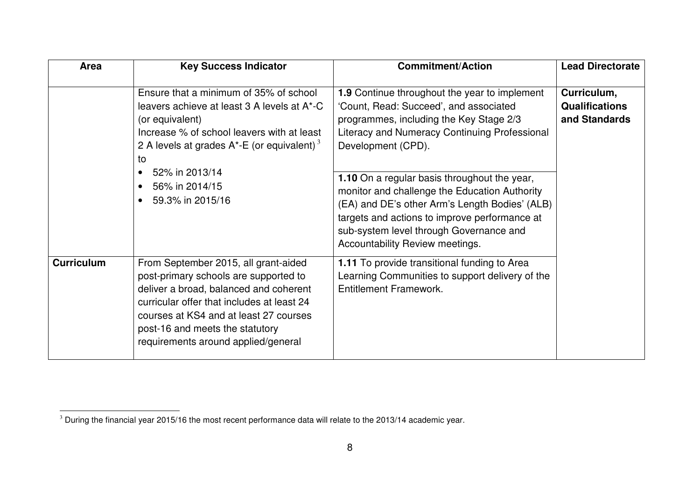| Area              | <b>Key Success Indicator</b>                                                                                                                                                                                                                                                                                              | <b>Commitment/Action</b>                                                                                                                                                                                                                                                                                                                                                                                                                                                                    | <b>Lead Directorate</b>                               |
|-------------------|---------------------------------------------------------------------------------------------------------------------------------------------------------------------------------------------------------------------------------------------------------------------------------------------------------------------------|---------------------------------------------------------------------------------------------------------------------------------------------------------------------------------------------------------------------------------------------------------------------------------------------------------------------------------------------------------------------------------------------------------------------------------------------------------------------------------------------|-------------------------------------------------------|
|                   | Ensure that a minimum of 35% of school<br>leavers achieve at least 3 A levels at A*-C<br>(or equivalent)<br>Increase % of school leavers with at least<br>2 A levels at grades $A^*$ -E (or equivalent) <sup>3</sup><br>to<br>52% in 2013/14<br>$\bullet$<br>56% in 2014/15<br>$\bullet$<br>59.3% in 2015/16<br>$\bullet$ | 1.9 Continue throughout the year to implement<br>'Count, Read: Succeed', and associated<br>programmes, including the Key Stage 2/3<br>Literacy and Numeracy Continuing Professional<br>Development (CPD).<br>1.10 On a regular basis throughout the year,<br>monitor and challenge the Education Authority<br>(EA) and DE's other Arm's Length Bodies' (ALB)<br>targets and actions to improve performance at<br>sub-system level through Governance and<br>Accountability Review meetings. | Curriculum,<br><b>Qualifications</b><br>and Standards |
| <b>Curriculum</b> | From September 2015, all grant-aided<br>post-primary schools are supported to<br>deliver a broad, balanced and coherent<br>curricular offer that includes at least 24<br>courses at KS4 and at least 27 courses<br>post-16 and meets the statutory<br>requirements around applied/general                                 | 1.11 To provide transitional funding to Area<br>Learning Communities to support delivery of the<br><b>Entitlement Framework.</b>                                                                                                                                                                                                                                                                                                                                                            |                                                       |

 $\overline{3}$  During the financial year 2015/16 the most recent performance data will relate to the 2013/14 academic year.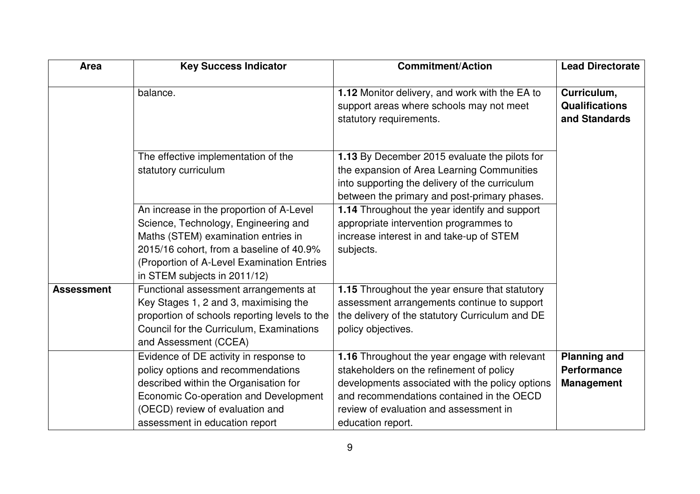| <b>Area</b>       | <b>Key Success Indicator</b>                                                                                                                                                                                                                      | <b>Commitment/Action</b>                                                                                                                                                                                                                                 | <b>Lead Directorate</b>                                        |  |
|-------------------|---------------------------------------------------------------------------------------------------------------------------------------------------------------------------------------------------------------------------------------------------|----------------------------------------------------------------------------------------------------------------------------------------------------------------------------------------------------------------------------------------------------------|----------------------------------------------------------------|--|
|                   | balance.                                                                                                                                                                                                                                          | 1.12 Monitor delivery, and work with the EA to<br>support areas where schools may not meet<br>statutory requirements.                                                                                                                                    | Curriculum,<br><b>Qualifications</b><br>and Standards          |  |
|                   | The effective implementation of the<br>statutory curriculum                                                                                                                                                                                       | 1.13 By December 2015 evaluate the pilots for<br>the expansion of Area Learning Communities<br>into supporting the delivery of the curriculum<br>between the primary and post-primary phases.                                                            |                                                                |  |
|                   | An increase in the proportion of A-Level<br>Science, Technology, Engineering and<br>Maths (STEM) examination entries in<br>2015/16 cohort, from a baseline of 40.9%<br>(Proportion of A-Level Examination Entries<br>in STEM subjects in 2011/12) | 1.14 Throughout the year identify and support<br>appropriate intervention programmes to<br>increase interest in and take-up of STEM<br>subjects.                                                                                                         |                                                                |  |
| <b>Assessment</b> | Functional assessment arrangements at<br>Key Stages 1, 2 and 3, maximising the<br>proportion of schools reporting levels to the<br>Council for the Curriculum, Examinations<br>and Assessment (CCEA)                                              | 1.15 Throughout the year ensure that statutory<br>assessment arrangements continue to support<br>the delivery of the statutory Curriculum and DE<br>policy objectives.                                                                                   |                                                                |  |
|                   | Evidence of DE activity in response to<br>policy options and recommendations<br>described within the Organisation for<br>Economic Co-operation and Development<br>(OECD) review of evaluation and<br>assessment in education report               | 1.16 Throughout the year engage with relevant<br>stakeholders on the refinement of policy<br>developments associated with the policy options<br>and recommendations contained in the OECD<br>review of evaluation and assessment in<br>education report. | <b>Planning and</b><br><b>Performance</b><br><b>Management</b> |  |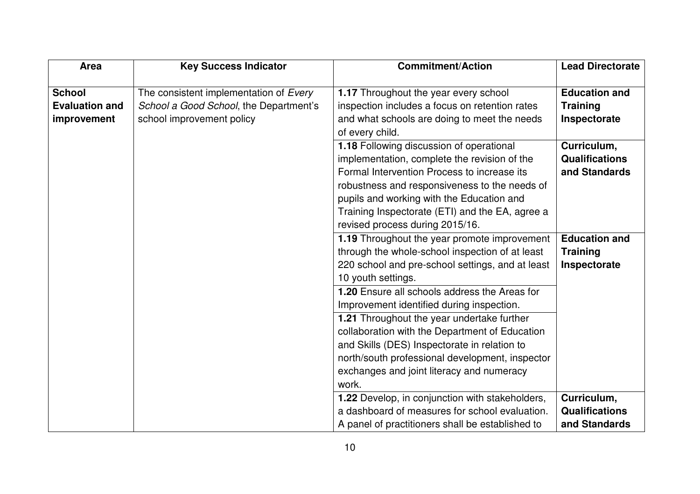| Area                  | <b>Key Success Indicator</b>           | <b>Commitment/Action</b>                         | <b>Lead Directorate</b> |
|-----------------------|----------------------------------------|--------------------------------------------------|-------------------------|
|                       |                                        |                                                  |                         |
| <b>School</b>         | The consistent implementation of Every | 1.17 Throughout the year every school            | <b>Education and</b>    |
| <b>Evaluation and</b> | School a Good School, the Department's | inspection includes a focus on retention rates   | <b>Training</b>         |
| improvement           | school improvement policy              | and what schools are doing to meet the needs     | Inspectorate            |
|                       |                                        | of every child.                                  |                         |
|                       |                                        | 1.18 Following discussion of operational         | Curriculum,             |
|                       |                                        | implementation, complete the revision of the     | <b>Qualifications</b>   |
|                       |                                        | Formal Intervention Process to increase its      | and Standards           |
|                       |                                        | robustness and responsiveness to the needs of    |                         |
|                       |                                        | pupils and working with the Education and        |                         |
|                       |                                        | Training Inspectorate (ETI) and the EA, agree a  |                         |
|                       |                                        | revised process during 2015/16.                  |                         |
|                       |                                        | 1.19 Throughout the year promote improvement     | <b>Education and</b>    |
|                       |                                        | through the whole-school inspection of at least  | <b>Training</b>         |
|                       |                                        | 220 school and pre-school settings, and at least | Inspectorate            |
|                       |                                        | 10 youth settings.                               |                         |
|                       |                                        | 1.20 Ensure all schools address the Areas for    |                         |
|                       |                                        | Improvement identified during inspection.        |                         |
|                       |                                        | 1.21 Throughout the year undertake further       |                         |
|                       |                                        | collaboration with the Department of Education   |                         |
|                       |                                        | and Skills (DES) Inspectorate in relation to     |                         |
|                       |                                        | north/south professional development, inspector  |                         |
|                       |                                        | exchanges and joint literacy and numeracy        |                         |
|                       |                                        | work.                                            |                         |
|                       |                                        | 1.22 Develop, in conjunction with stakeholders,  | Curriculum,             |
|                       |                                        | a dashboard of measures for school evaluation.   | <b>Qualifications</b>   |
|                       |                                        | A panel of practitioners shall be established to | and Standards           |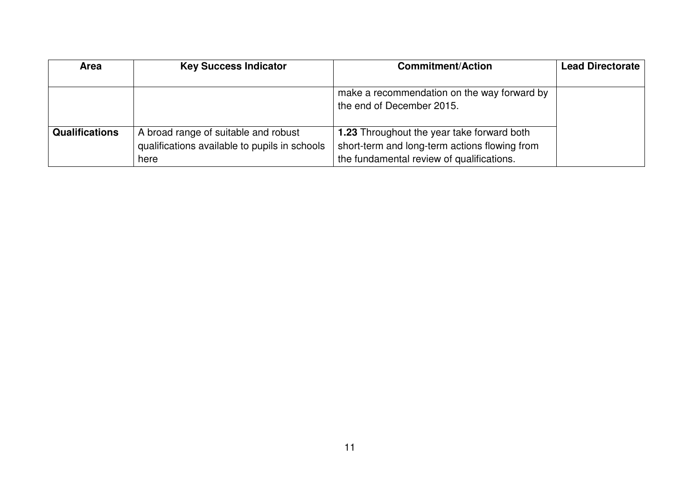| <b>Area</b>           | <b>Key Success Indicator</b>                  | <b>Commitment/Action</b>                          | <b>Lead Directorate</b> |
|-----------------------|-----------------------------------------------|---------------------------------------------------|-------------------------|
|                       |                                               |                                                   |                         |
|                       |                                               | make a recommendation on the way forward by       |                         |
|                       |                                               | the end of December 2015.                         |                         |
|                       |                                               |                                                   |                         |
| <b>Qualifications</b> | A broad range of suitable and robust          | <b>1.23</b> Throughout the year take forward both |                         |
|                       | qualifications available to pupils in schools | short-term and long-term actions flowing from     |                         |
|                       | here                                          | the fundamental review of qualifications.         |                         |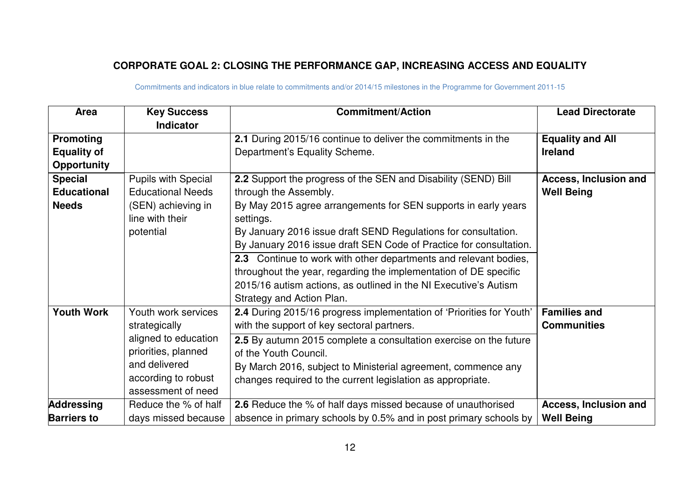## **CORPORATE GOAL 2: CLOSING THE PERFORMANCE GAP, INCREASING ACCESS AND EQUALITY**

| Area               | <b>Key Success</b>         | <b>Commitment/Action</b>                                             | <b>Lead Directorate</b>      |
|--------------------|----------------------------|----------------------------------------------------------------------|------------------------------|
|                    | <b>Indicator</b>           |                                                                      |                              |
| <b>Promoting</b>   |                            | 2.1 During 2015/16 continue to deliver the commitments in the        | <b>Equality and All</b>      |
| <b>Equality of</b> |                            | Department's Equality Scheme.                                        | <b>Ireland</b>               |
| <b>Opportunity</b> |                            |                                                                      |                              |
| <b>Special</b>     | <b>Pupils with Special</b> | 2.2 Support the progress of the SEN and Disability (SEND) Bill       | <b>Access, Inclusion and</b> |
| <b>Educational</b> | <b>Educational Needs</b>   | through the Assembly.                                                | <b>Well Being</b>            |
| <b>Needs</b>       | (SEN) achieving in         | By May 2015 agree arrangements for SEN supports in early years       |                              |
|                    | line with their            | settings.                                                            |                              |
|                    | potential                  | By January 2016 issue draft SEND Regulations for consultation.       |                              |
|                    |                            | By January 2016 issue draft SEN Code of Practice for consultation.   |                              |
|                    |                            | 2.3 Continue to work with other departments and relevant bodies,     |                              |
|                    |                            | throughout the year, regarding the implementation of DE specific     |                              |
|                    |                            | 2015/16 autism actions, as outlined in the NI Executive's Autism     |                              |
|                    |                            | Strategy and Action Plan.                                            |                              |
| <b>Youth Work</b>  | Youth work services        | 2.4 During 2015/16 progress implementation of 'Priorities for Youth' | <b>Families and</b>          |
|                    | strategically              | with the support of key sectoral partners.                           | <b>Communities</b>           |
|                    | aligned to education       | 2.5 By autumn 2015 complete a consultation exercise on the future    |                              |
|                    | priorities, planned        | of the Youth Council.                                                |                              |
|                    | and delivered              | By March 2016, subject to Ministerial agreement, commence any        |                              |
|                    | according to robust        | changes required to the current legislation as appropriate.          |                              |
|                    | assessment of need         |                                                                      |                              |
| <b>Addressing</b>  | Reduce the % of half       | 2.6 Reduce the % of half days missed because of unauthorised         | Access, Inclusion and        |
| <b>Barriers to</b> | days missed because        | absence in primary schools by 0.5% and in post primary schools by    | <b>Well Being</b>            |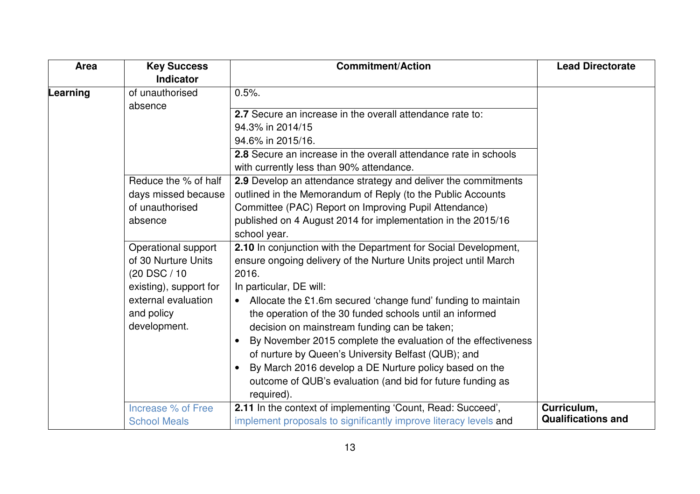| Area     | <b>Key Success</b>         | <b>Commitment/Action</b>                                                   | <b>Lead Directorate</b>   |
|----------|----------------------------|----------------------------------------------------------------------------|---------------------------|
|          | <b>Indicator</b>           |                                                                            |                           |
| Learning | of unauthorised<br>absence | $0.5%$ .                                                                   |                           |
|          |                            | 2.7 Secure an increase in the overall attendance rate to:                  |                           |
|          |                            | 94.3% in 2014/15                                                           |                           |
|          |                            | 94.6% in 2015/16.                                                          |                           |
|          |                            | 2.8 Secure an increase in the overall attendance rate in schools           |                           |
|          |                            | with currently less than 90% attendance.                                   |                           |
|          | Reduce the % of half       | 2.9 Develop an attendance strategy and deliver the commitments             |                           |
|          | days missed because        | outlined in the Memorandum of Reply (to the Public Accounts                |                           |
|          | of unauthorised            | Committee (PAC) Report on Improving Pupil Attendance)                      |                           |
|          | absence                    | published on 4 August 2014 for implementation in the 2015/16               |                           |
|          |                            | school year.                                                               |                           |
|          | Operational support        | 2.10 In conjunction with the Department for Social Development,            |                           |
|          | of 30 Nurture Units        | ensure ongoing delivery of the Nurture Units project until March           |                           |
|          | (20 DSC / 10               | 2016.                                                                      |                           |
|          | existing), support for     | In particular, DE will:                                                    |                           |
|          | external evaluation        | Allocate the £1.6m secured 'change fund' funding to maintain               |                           |
|          | and policy                 | the operation of the 30 funded schools until an informed                   |                           |
|          | development.               | decision on mainstream funding can be taken;                               |                           |
|          |                            | By November 2015 complete the evaluation of the effectiveness<br>$\bullet$ |                           |
|          |                            | of nurture by Queen's University Belfast (QUB); and                        |                           |
|          |                            | By March 2016 develop a DE Nurture policy based on the<br>$\bullet$        |                           |
|          |                            | outcome of QUB's evaluation (and bid for future funding as                 |                           |
|          |                            | required).                                                                 |                           |
|          | Increase % of Free         | 2.11 In the context of implementing 'Count, Read: Succeed',                | Curriculum,               |
|          | <b>School Meals</b>        | implement proposals to significantly improve literacy levels and           | <b>Qualifications and</b> |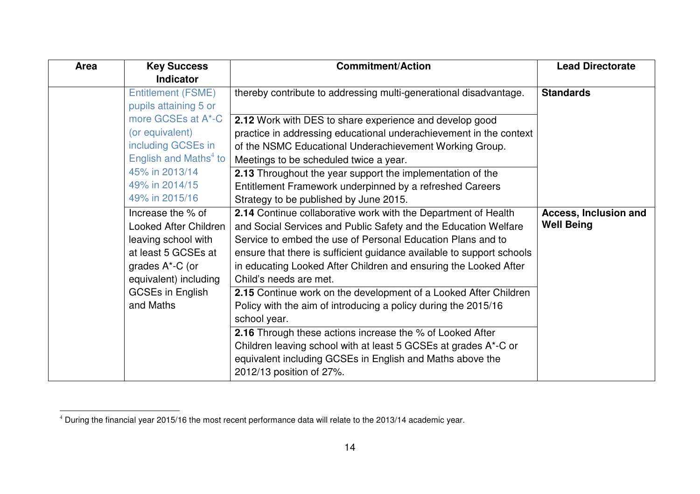| Area | <b>Key Success</b>                | <b>Commitment/Action</b>                                              | <b>Lead Directorate</b> |
|------|-----------------------------------|-----------------------------------------------------------------------|-------------------------|
|      | <b>Indicator</b>                  |                                                                       |                         |
|      | <b>Entitlement (FSME)</b>         | thereby contribute to addressing multi-generational disadvantage.     | <b>Standards</b>        |
|      | pupils attaining 5 or             |                                                                       |                         |
|      | more GCSEs at A*-C                | 2.12 Work with DES to share experience and develop good               |                         |
|      | (or equivalent)                   | practice in addressing educational underachievement in the context    |                         |
|      | including GCSEs in                | of the NSMC Educational Underachievement Working Group.               |                         |
|      | English and Maths <sup>4</sup> to | Meetings to be scheduled twice a year.                                |                         |
|      | 45% in 2013/14                    | 2.13 Throughout the year support the implementation of the            |                         |
|      | 49% in 2014/15                    | Entitlement Framework underpinned by a refreshed Careers              |                         |
|      | 49% in 2015/16                    | Strategy to be published by June 2015.                                |                         |
|      | Increase the % of                 | 2.14 Continue collaborative work with the Department of Health        | Access, Inclusion and   |
|      | <b>Looked After Children</b>      | and Social Services and Public Safety and the Education Welfare       | <b>Well Being</b>       |
|      | leaving school with               | Service to embed the use of Personal Education Plans and to           |                         |
|      | at least 5 GCSEs at               | ensure that there is sufficient guidance available to support schools |                         |
|      | grades A*-C (or                   | in educating Looked After Children and ensuring the Looked After      |                         |
|      | equivalent) including             | Child's needs are met.                                                |                         |
|      | <b>GCSEs in English</b>           | 2.15 Continue work on the development of a Looked After Children      |                         |
|      | and Maths                         | Policy with the aim of introducing a policy during the 2015/16        |                         |
|      |                                   | school year.                                                          |                         |
|      |                                   | <b>2.16</b> Through these actions increase the % of Looked After      |                         |
|      |                                   | Children leaving school with at least 5 GCSEs at grades A*-C or       |                         |
|      |                                   | equivalent including GCSEs in English and Maths above the             |                         |
|      |                                   | 2012/13 position of 27%.                                              |                         |

<sup>4</sup>During the financial year 2015/16 the most recent performance data will relate to the 2013/14 academic year.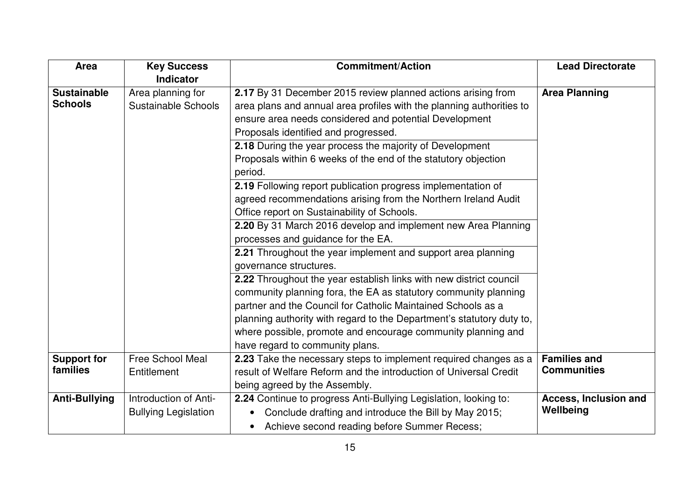| Area                 | <b>Key Success</b>          | <b>Commitment/Action</b>                                              | <b>Lead Directorate</b>      |
|----------------------|-----------------------------|-----------------------------------------------------------------------|------------------------------|
|                      | Indicator                   |                                                                       |                              |
| <b>Sustainable</b>   | Area planning for           | 2.17 By 31 December 2015 review planned actions arising from          | <b>Area Planning</b>         |
| <b>Schools</b>       | Sustainable Schools         | area plans and annual area profiles with the planning authorities to  |                              |
|                      |                             | ensure area needs considered and potential Development                |                              |
|                      |                             | Proposals identified and progressed.                                  |                              |
|                      |                             | 2.18 During the year process the majority of Development              |                              |
|                      |                             | Proposals within 6 weeks of the end of the statutory objection        |                              |
|                      |                             | period.                                                               |                              |
|                      |                             | 2.19 Following report publication progress implementation of          |                              |
|                      |                             | agreed recommendations arising from the Northern Ireland Audit        |                              |
|                      |                             | Office report on Sustainability of Schools.                           |                              |
|                      |                             | 2.20 By 31 March 2016 develop and implement new Area Planning         |                              |
|                      |                             | processes and guidance for the EA.                                    |                              |
|                      |                             | 2.21 Throughout the year implement and support area planning          |                              |
|                      |                             | governance structures.                                                |                              |
|                      |                             | 2.22 Throughout the year establish links with new district council    |                              |
|                      |                             | community planning fora, the EA as statutory community planning       |                              |
|                      |                             | partner and the Council for Catholic Maintained Schools as a          |                              |
|                      |                             | planning authority with regard to the Department's statutory duty to, |                              |
|                      |                             | where possible, promote and encourage community planning and          |                              |
|                      |                             | have regard to community plans.                                       |                              |
| <b>Support for</b>   | <b>Free School Meal</b>     | 2.23 Take the necessary steps to implement required changes as a      | <b>Families and</b>          |
| families             | Entitlement                 | result of Welfare Reform and the introduction of Universal Credit     | <b>Communities</b>           |
|                      |                             | being agreed by the Assembly.                                         |                              |
| <b>Anti-Bullying</b> | Introduction of Anti-       | 2.24 Continue to progress Anti-Bullying Legislation, looking to:      | <b>Access, Inclusion and</b> |
|                      | <b>Bullying Legislation</b> | Conclude drafting and introduce the Bill by May 2015;<br>$\bullet$    | Wellbeing                    |
|                      |                             | Achieve second reading before Summer Recess;<br>$\bullet$             |                              |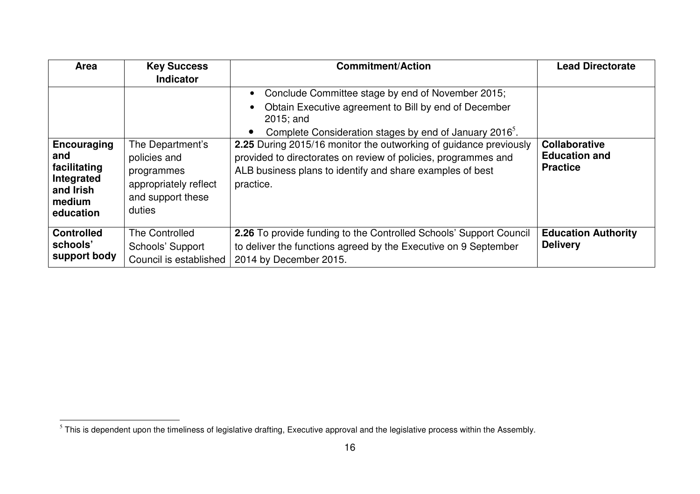| Area                       | <b>Key Success</b>     | <b>Commitment/Action</b>                                              | <b>Lead Directorate</b>    |
|----------------------------|------------------------|-----------------------------------------------------------------------|----------------------------|
|                            | <b>Indicator</b>       |                                                                       |                            |
|                            |                        | Conclude Committee stage by end of November 2015;                     |                            |
|                            |                        | Obtain Executive agreement to Bill by end of December<br>$2015$ ; and |                            |
|                            |                        | Complete Consideration stages by end of January 2016 <sup>5</sup> .   |                            |
| Encouraging                | The Department's       | 2.25 During 2015/16 monitor the outworking of guidance previously     | <b>Collaborative</b>       |
| and                        | policies and           | provided to directorates on review of policies, programmes and        | <b>Education and</b>       |
| facilitating<br>Integrated | programmes             | ALB business plans to identify and share examples of best             | <b>Practice</b>            |
| and Irish                  | appropriately reflect  | practice.                                                             |                            |
| medium                     | and support these      |                                                                       |                            |
| education                  | duties                 |                                                                       |                            |
| <b>Controlled</b>          | The Controlled         | 2.26 To provide funding to the Controlled Schools' Support Council    | <b>Education Authority</b> |
| schools'                   | Schools' Support       | to deliver the functions agreed by the Executive on 9 September       | <b>Delivery</b>            |
| support body               | Council is established | 2014 by December 2015.                                                |                            |

 $\frac{1}{5}$ This is dependent upon the timeliness of legislative drafting, Executive approval and the legislative process within the Assembly.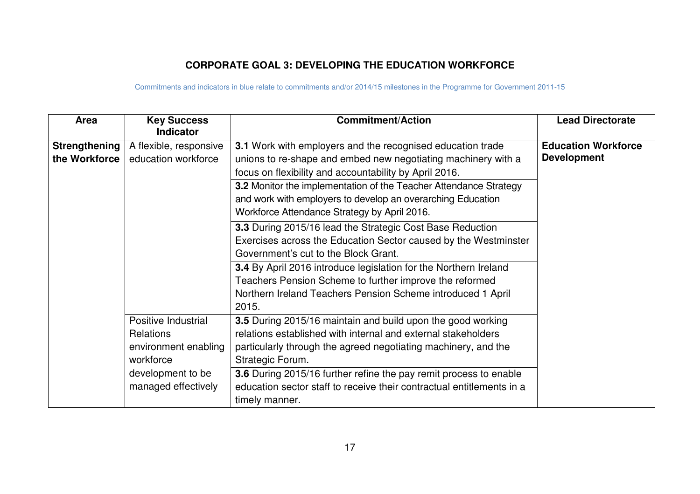## **CORPORATE GOAL 3: DEVELOPING THE EDUCATION WORKFORCE**

| Area                 | <b>Key Success</b><br><b>Indicator</b> | <b>Commitment/Action</b>                                                | <b>Lead Directorate</b>    |
|----------------------|----------------------------------------|-------------------------------------------------------------------------|----------------------------|
| <b>Strengthening</b> | A flexible, responsive                 | <b>3.1</b> Work with employers and the recognised education trade       | <b>Education Workforce</b> |
| the Workforce        | education workforce                    | unions to re-shape and embed new negotiating machinery with a           | <b>Development</b>         |
|                      |                                        | focus on flexibility and accountability by April 2016.                  |                            |
|                      |                                        | 3.2 Monitor the implementation of the Teacher Attendance Strategy       |                            |
|                      |                                        | and work with employers to develop an overarching Education             |                            |
|                      |                                        | Workforce Attendance Strategy by April 2016.                            |                            |
|                      |                                        | 3.3 During 2015/16 lead the Strategic Cost Base Reduction               |                            |
|                      |                                        | Exercises across the Education Sector caused by the Westminster         |                            |
|                      |                                        | Government's cut to the Block Grant.                                    |                            |
|                      |                                        | <b>3.4</b> By April 2016 introduce legislation for the Northern Ireland |                            |
|                      |                                        | Teachers Pension Scheme to further improve the reformed                 |                            |
|                      |                                        | Northern Ireland Teachers Pension Scheme introduced 1 April             |                            |
|                      |                                        | 2015.                                                                   |                            |
|                      | Positive Industrial                    | 3.5 During 2015/16 maintain and build upon the good working             |                            |
|                      | <b>Relations</b>                       | relations established with internal and external stakeholders           |                            |
|                      | environment enabling                   | particularly through the agreed negotiating machinery, and the          |                            |
|                      | workforce                              | Strategic Forum.                                                        |                            |
|                      | development to be                      | 3.6 During 2015/16 further refine the pay remit process to enable       |                            |
|                      | managed effectively                    | education sector staff to receive their contractual entitlements in a   |                            |
|                      |                                        | timely manner.                                                          |                            |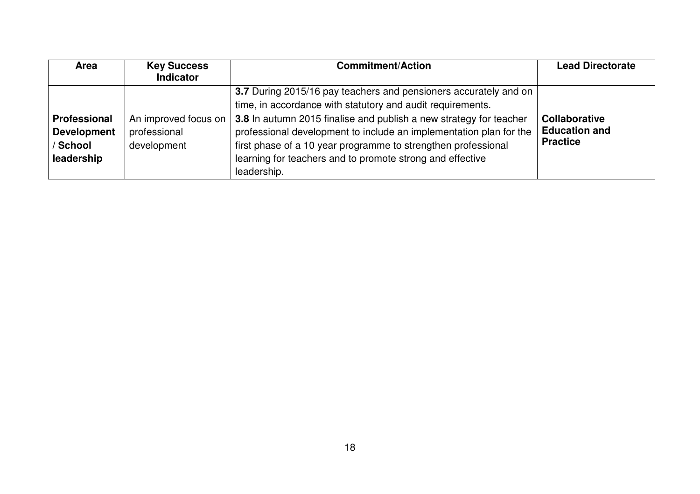| <b>Area</b>         | <b>Key Success</b><br>Indicator | <b>Commitment/Action</b>                                           | <b>Lead Directorate</b> |
|---------------------|---------------------------------|--------------------------------------------------------------------|-------------------------|
|                     |                                 | 3.7 During 2015/16 pay teachers and pensioners accurately and on   |                         |
|                     |                                 | time, in accordance with statutory and audit requirements.         |                         |
| <b>Professional</b> | An improved focus on            | 3.8 In autumn 2015 finalise and publish a new strategy for teacher | <b>Collaborative</b>    |
| <b>Development</b>  | professional                    | professional development to include an implementation plan for the | <b>Education and</b>    |
| / School            | development                     | first phase of a 10 year programme to strengthen professional      | <b>Practice</b>         |
| leadership          |                                 | learning for teachers and to promote strong and effective          |                         |
|                     |                                 | leadership.                                                        |                         |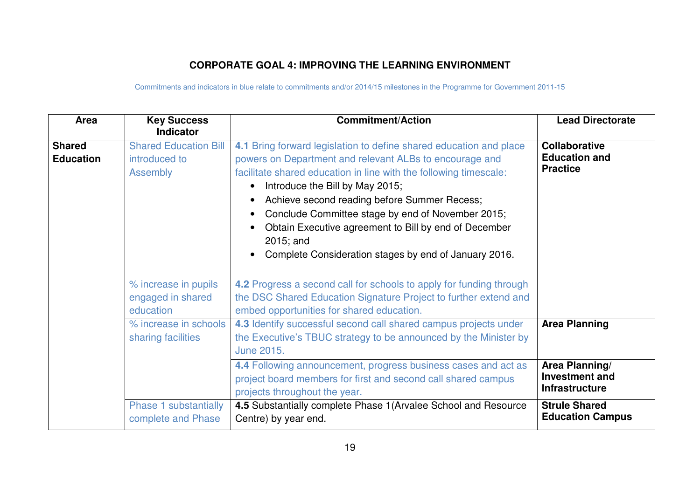### **CORPORATE GOAL 4: IMPROVING THE LEARNING ENVIRONMENT**

| Area                              | <b>Key Success</b><br><b>Indicator</b>                           | <b>Commitment/Action</b>                                                                                                                                                                                                                                                                                                                                                                                                                                                                                                      | <b>Lead Directorate</b>                                          |
|-----------------------------------|------------------------------------------------------------------|-------------------------------------------------------------------------------------------------------------------------------------------------------------------------------------------------------------------------------------------------------------------------------------------------------------------------------------------------------------------------------------------------------------------------------------------------------------------------------------------------------------------------------|------------------------------------------------------------------|
| <b>Shared</b><br><b>Education</b> | <b>Shared Education Bill</b><br>introduced to<br><b>Assembly</b> | 4.1 Bring forward legislation to define shared education and place<br>powers on Department and relevant ALBs to encourage and<br>facilitate shared education in line with the following timescale:<br>Introduce the Bill by May 2015;<br>$\bullet$<br>Achieve second reading before Summer Recess;<br>$\bullet$<br>Conclude Committee stage by end of November 2015;<br>$\bullet$<br>Obtain Executive agreement to Bill by end of December<br>2015; and<br>Complete Consideration stages by end of January 2016.<br>$\bullet$ | <b>Collaborative</b><br><b>Education and</b><br><b>Practice</b>  |
|                                   | % increase in pupils<br>engaged in shared<br>education           | 4.2 Progress a second call for schools to apply for funding through<br>the DSC Shared Education Signature Project to further extend and<br>embed opportunities for shared education.                                                                                                                                                                                                                                                                                                                                          |                                                                  |
|                                   | % increase in schools<br>sharing facilities                      | 4.3 Identify successful second call shared campus projects under<br>the Executive's TBUC strategy to be announced by the Minister by<br>June 2015.                                                                                                                                                                                                                                                                                                                                                                            | <b>Area Planning</b>                                             |
|                                   |                                                                  | 4.4 Following announcement, progress business cases and act as<br>project board members for first and second call shared campus<br>projects throughout the year.                                                                                                                                                                                                                                                                                                                                                              | Area Planning/<br><b>Investment and</b><br><b>Infrastructure</b> |
|                                   | Phase 1 substantially<br>complete and Phase                      | 4.5 Substantially complete Phase 1 (Arvalee School and Resource<br>Centre) by year end.                                                                                                                                                                                                                                                                                                                                                                                                                                       | <b>Strule Shared</b><br><b>Education Campus</b>                  |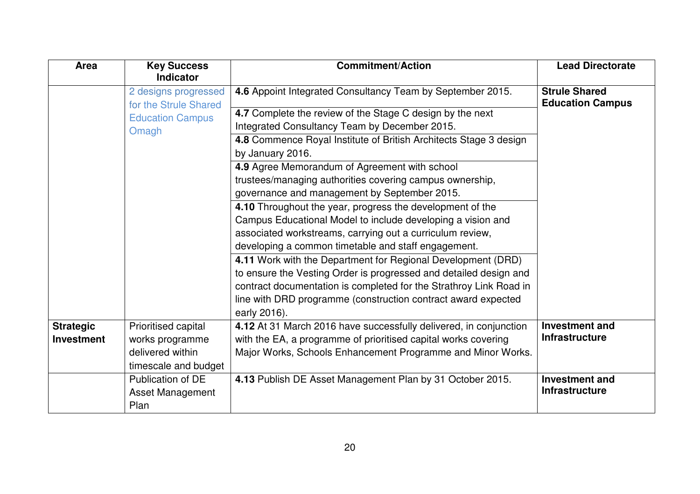| Area              | <b>Key Success</b><br><b>Indicator</b>        | <b>Commitment/Action</b>                                           | <b>Lead Directorate</b>                         |
|-------------------|-----------------------------------------------|--------------------------------------------------------------------|-------------------------------------------------|
|                   | 2 designs progressed<br>for the Strule Shared | 4.6 Appoint Integrated Consultancy Team by September 2015.         | <b>Strule Shared</b><br><b>Education Campus</b> |
|                   | <b>Education Campus</b>                       | 4.7 Complete the review of the Stage C design by the next          |                                                 |
|                   | Omagh                                         | Integrated Consultancy Team by December 2015.                      |                                                 |
|                   |                                               | 4.8 Commence Royal Institute of British Architects Stage 3 design  |                                                 |
|                   |                                               | by January 2016.                                                   |                                                 |
|                   |                                               | 4.9 Agree Memorandum of Agreement with school                      |                                                 |
|                   |                                               | trustees/managing authorities covering campus ownership,           |                                                 |
|                   |                                               | governance and management by September 2015.                       |                                                 |
|                   |                                               | 4.10 Throughout the year, progress the development of the          |                                                 |
|                   |                                               | Campus Educational Model to include developing a vision and        |                                                 |
|                   |                                               | associated workstreams, carrying out a curriculum review,          |                                                 |
|                   |                                               | developing a common timetable and staff engagement.                |                                                 |
|                   |                                               | 4.11 Work with the Department for Regional Development (DRD)       |                                                 |
|                   |                                               | to ensure the Vesting Order is progressed and detailed design and  |                                                 |
|                   |                                               | contract documentation is completed for the Strathroy Link Road in |                                                 |
|                   |                                               | line with DRD programme (construction contract award expected      |                                                 |
|                   |                                               | early 2016).                                                       |                                                 |
| <b>Strategic</b>  | Prioritised capital                           | 4.12 At 31 March 2016 have successfully delivered, in conjunction  | <b>Investment and</b>                           |
| <b>Investment</b> | works programme                               | with the EA, a programme of prioritised capital works covering     | <b>Infrastructure</b>                           |
|                   | delivered within                              | Major Works, Schools Enhancement Programme and Minor Works.        |                                                 |
|                   | timescale and budget                          |                                                                    |                                                 |
|                   | Publication of DE                             | 4.13 Publish DE Asset Management Plan by 31 October 2015.          | <b>Investment and</b>                           |
|                   | Asset Management                              |                                                                    | <b>Infrastructure</b>                           |
|                   | Plan                                          |                                                                    |                                                 |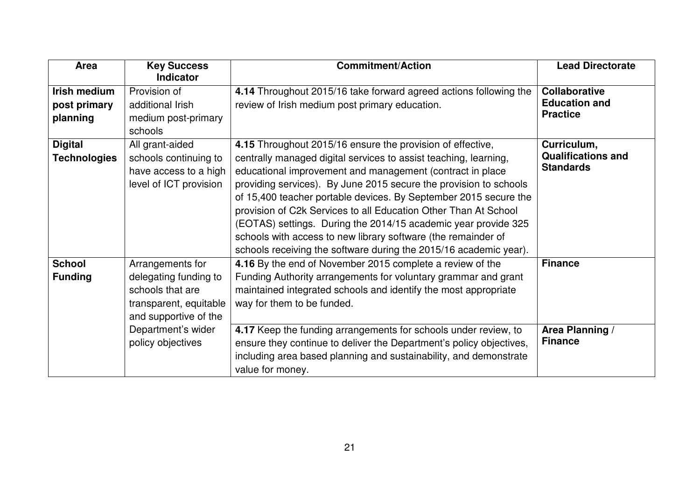| Area                                            | <b>Key Success</b><br><b>Indicator</b>                                                                           | <b>Commitment/Action</b>                                                                                                                                                                                                                                                                                                                                                                                                                                                                                                                                                                                        | <b>Lead Directorate</b>                                         |
|-------------------------------------------------|------------------------------------------------------------------------------------------------------------------|-----------------------------------------------------------------------------------------------------------------------------------------------------------------------------------------------------------------------------------------------------------------------------------------------------------------------------------------------------------------------------------------------------------------------------------------------------------------------------------------------------------------------------------------------------------------------------------------------------------------|-----------------------------------------------------------------|
| <b>Irish medium</b><br>post primary<br>planning | Provision of<br>additional Irish<br>medium post-primary<br>schools                                               | 4.14 Throughout 2015/16 take forward agreed actions following the<br>review of Irish medium post primary education.                                                                                                                                                                                                                                                                                                                                                                                                                                                                                             | <b>Collaborative</b><br><b>Education and</b><br><b>Practice</b> |
| <b>Digital</b><br><b>Technologies</b>           | All grant-aided<br>schools continuing to<br>have access to a high<br>level of ICT provision                      | 4.15 Throughout 2015/16 ensure the provision of effective,<br>centrally managed digital services to assist teaching, learning,<br>educational improvement and management (contract in place<br>providing services). By June 2015 secure the provision to schools<br>of 15,400 teacher portable devices. By September 2015 secure the<br>provision of C2k Services to all Education Other Than At School<br>(EOTAS) settings. During the 2014/15 academic year provide 325<br>schools with access to new library software (the remainder of<br>schools receiving the software during the 2015/16 academic year). | Curriculum,<br><b>Qualifications and</b><br><b>Standards</b>    |
| <b>School</b><br><b>Funding</b>                 | Arrangements for<br>delegating funding to<br>schools that are<br>transparent, equitable<br>and supportive of the | 4.16 By the end of November 2015 complete a review of the<br>Funding Authority arrangements for voluntary grammar and grant<br>maintained integrated schools and identify the most appropriate<br>way for them to be funded.                                                                                                                                                                                                                                                                                                                                                                                    | <b>Finance</b>                                                  |
|                                                 | Department's wider<br>policy objectives                                                                          | 4.17 Keep the funding arrangements for schools under review, to<br>ensure they continue to deliver the Department's policy objectives,<br>including area based planning and sustainability, and demonstrate<br>value for money.                                                                                                                                                                                                                                                                                                                                                                                 | Area Planning /<br><b>Finance</b>                               |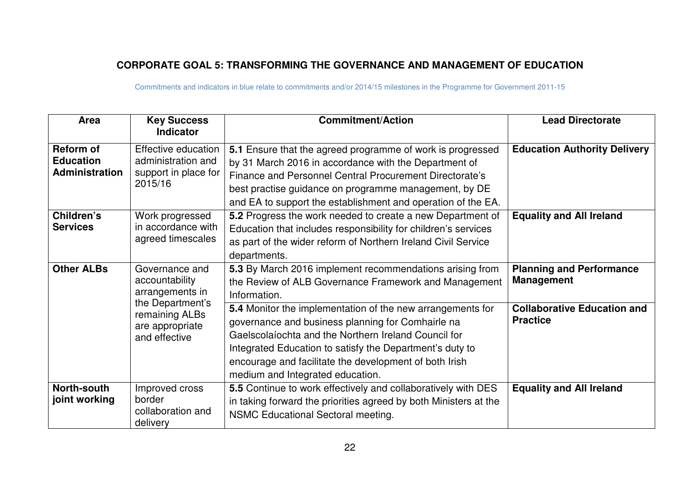## **CORPORATE GOAL 5: TRANSFORMING THE GOVERNANCE AND MANAGEMENT OF EDUCATION**

| Area                                                          | <b>Key Success</b><br><b>Indicator</b>                                       | <b>Commitment/Action</b>                                                                                                                                                                                                                                                                                                          | <b>Lead Directorate</b>                               |
|---------------------------------------------------------------|------------------------------------------------------------------------------|-----------------------------------------------------------------------------------------------------------------------------------------------------------------------------------------------------------------------------------------------------------------------------------------------------------------------------------|-------------------------------------------------------|
| <b>Reform of</b><br><b>Education</b><br><b>Administration</b> | Effective education<br>administration and<br>support in place for<br>2015/16 | 5.1 Ensure that the agreed programme of work is progressed<br>by 31 March 2016 in accordance with the Department of<br>Finance and Personnel Central Procurement Directorate's<br>best practise guidance on programme management, by DE<br>and EA to support the establishment and operation of the EA.                           | <b>Education Authority Delivery</b>                   |
| Children's<br><b>Services</b>                                 | Work progressed<br>in accordance with<br>agreed timescales                   | 5.2 Progress the work needed to create a new Department of<br>Education that includes responsibility for children's services<br>as part of the wider reform of Northern Ireland Civil Service<br>departments.                                                                                                                     | <b>Equality and All Ireland</b>                       |
| <b>Other ALBs</b>                                             | Governance and<br>accountability<br>arrangements in                          | 5.3 By March 2016 implement recommendations arising from<br>the Review of ALB Governance Framework and Management<br>Information.                                                                                                                                                                                                 | <b>Planning and Performance</b><br><b>Management</b>  |
|                                                               | the Department's<br>remaining ALBs<br>are appropriate<br>and effective       | 5.4 Monitor the implementation of the new arrangements for<br>governance and business planning for Comhairle na<br>Gaelscolaíochta and the Northern Ireland Council for<br>Integrated Education to satisfy the Department's duty to<br>encourage and facilitate the development of both Irish<br>medium and Integrated education. | <b>Collaborative Education and</b><br><b>Practice</b> |
| North-south<br>joint working                                  | Improved cross<br>border<br>collaboration and<br>delivery                    | 5.5 Continue to work effectively and collaboratively with DES<br>in taking forward the priorities agreed by both Ministers at the<br>NSMC Educational Sectoral meeting.                                                                                                                                                           | <b>Equality and All Ireland</b>                       |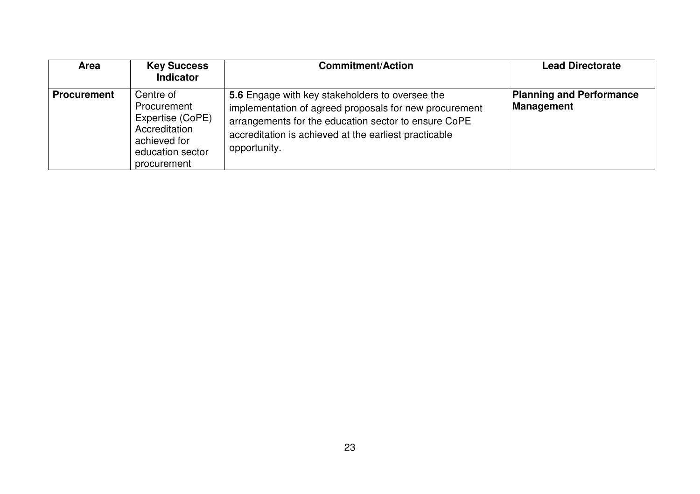| <b>Area</b>        | <b>Key Success</b><br><b>Indicator</b>                                                                           | <b>Commitment/Action</b>                                                                                                                                                                                                                   | <b>Lead Directorate</b>                              |
|--------------------|------------------------------------------------------------------------------------------------------------------|--------------------------------------------------------------------------------------------------------------------------------------------------------------------------------------------------------------------------------------------|------------------------------------------------------|
| <b>Procurement</b> | Centre of<br>Procurement<br>Expertise (CoPE)<br>Accreditation<br>achieved for<br>education sector<br>procurement | 5.6 Engage with key stakeholders to oversee the<br>implementation of agreed proposals for new procurement<br>arrangements for the education sector to ensure CoPE<br>accreditation is achieved at the earliest practicable<br>opportunity. | <b>Planning and Performance</b><br><b>Management</b> |